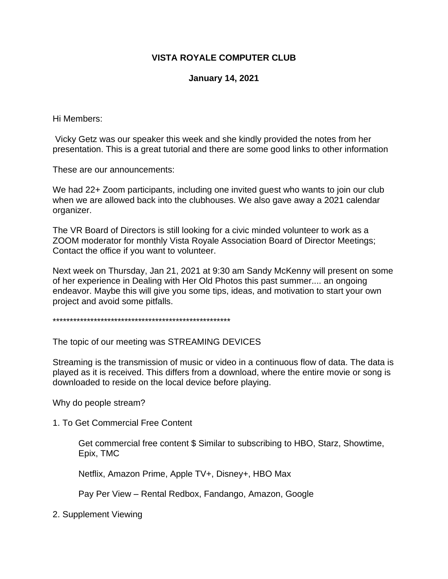# **VISTA ROYALE COMPUTER CLUB**

## **January 14, 2021**

Hi Members:

Vicky Getz was our speaker this week and she kindly provided the notes from her presentation. This is a great tutorial and there are some good links to other information

These are our announcements:

We had 22+ Zoom participants, including one invited quest who wants to join our club when we are allowed back into the clubhouses. We also gave away a 2021 calendar organizer.

The VR Board of Directors is still looking for a civic minded volunteer to work as a ZOOM moderator for monthly Vista Royale Association Board of Director Meetings; Contact the office if you want to volunteer.

Next week on Thursday, Jan 21, 2021 at 9:30 am Sandy McKenny will present on some of her experience in Dealing with Her Old Photos this past summer.... an ongoing endeavor. Maybe this will give you some tips, ideas, and motivation to start your own project and avoid some pitfalls.

\*\*\*\*\*\*\*\*\*\*\*\*\*\*\*\*\*\*\*\*\*\*\*\*\*\*\*\*\*\*\*\*\*\*\*\*\*\*\*\*\*\*\*\*\*\*\*\*\*\*\*\*

The topic of our meeting was STREAMING DEVICES

Streaming is the transmission of music or video in a continuous flow of data. The data is played as it is received. This differs from a download, where the entire movie or song is downloaded to reside on the local device before playing.

Why do people stream?

1. To Get Commercial Free Content

Get commercial free content \$ Similar to subscribing to HBO, Starz, Showtime, Epix, TMC

Netflix, Amazon Prime, Apple TV+, Disney+, HBO Max

Pay Per View – Rental Redbox, Fandango, Amazon, Google

2. Supplement Viewing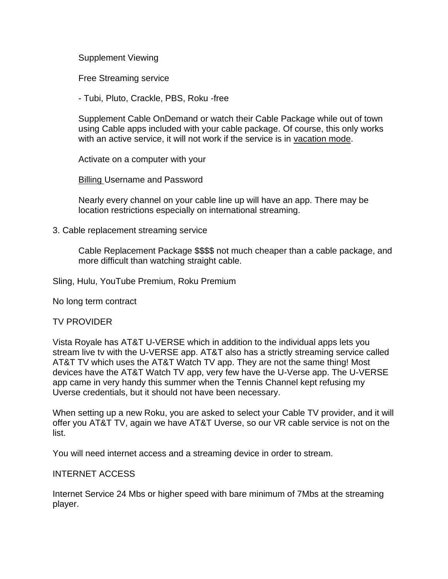Supplement Viewing

Free Streaming service

- Tubi, Pluto, Crackle, PBS, Roku -free

Supplement Cable OnDemand or watch their Cable Package while out of town using Cable apps included with your cable package. Of course, this only works with an active service, it will not work if the service is in vacation mode.

Activate on a computer with your

Billing Username and Password

Nearly every channel on your cable line up will have an app. There may be location restrictions especially on international streaming.

3. Cable replacement streaming service

Cable Replacement Package \$\$\$\$ not much cheaper than a cable package, and more difficult than watching straight cable.

Sling, Hulu, YouTube Premium, Roku Premium

No long term contract

### TV PROVIDER

Vista Royale has AT&T U-VERSE which in addition to the individual apps lets you stream live tv with the U-VERSE app. AT&T also has a strictly streaming service called AT&T TV which uses the AT&T Watch TV app. They are not the same thing! Most devices have the AT&T Watch TV app, very few have the U-Verse app. The U-VERSE app came in very handy this summer when the Tennis Channel kept refusing my Uverse credentials, but it should not have been necessary.

When setting up a new Roku, you are asked to select your Cable TV provider, and it will offer you AT&T TV, again we have AT&T Uverse, so our VR cable service is not on the list.

You will need internet access and a streaming device in order to stream.

### INTERNET ACCESS

Internet Service 24 Mbs or higher speed with bare minimum of 7Mbs at the streaming player.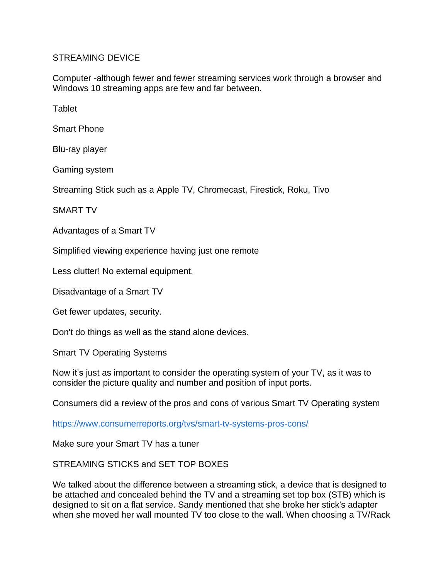## STREAMING DEVICE

Computer -although fewer and fewer streaming services work through a browser and Windows 10 streaming apps are few and far between.

**Tablet** 

Smart Phone

Blu-ray player

Gaming system

Streaming Stick such as a Apple TV, Chromecast, Firestick, Roku, Tivo

SMART TV

Advantages of a Smart TV

Simplified viewing experience having just one remote

Less clutter! No external equipment.

Disadvantage of a Smart TV

Get fewer updates, security.

Don't do things as well as the stand alone devices.

Smart TV Operating Systems

Now it's just as important to consider the operating system of your TV, as it was to consider the picture quality and number and position of input ports.

Consumers did a review of the pros and cons of various Smart TV Operating system

[https://www.consumerreports.org/tvs/smart-tv-systems-pros-cons/](https://vrcomputerclub-dot-yamm-track.appspot.com/Redirect?ukey=1HqwuEtkQIAl2xUAFN81J1MLoXbtU61t-XPX-_LwJAjY-0&key=YAMMID-41919636&link=https%3A%2F%2Fwww.consumerreports.org%2Ftvs%2Fsmart-tv-systems-pros-cons%2F)

Make sure your Smart TV has a tuner

STREAMING STICKS and SET TOP BOXES

We talked about the difference between a streaming stick, a device that is designed to be attached and concealed behind the TV and a streaming set top box (STB) which is designed to sit on a flat service. Sandy mentioned that she broke her stick's adapter when she moved her wall mounted TV too close to the wall. When choosing a TV/Rack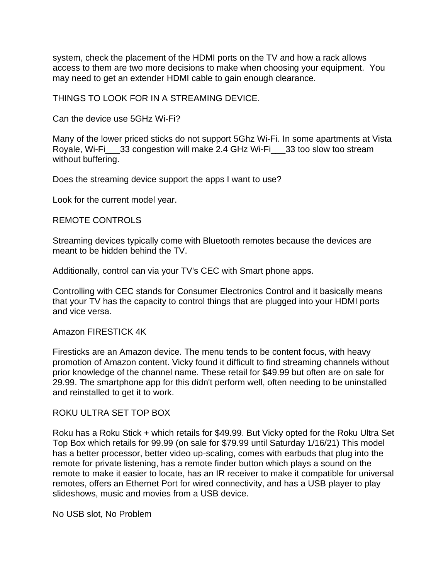system, check the placement of the HDMI ports on the TV and how a rack allows access to them are two more decisions to make when choosing your equipment. You may need to get an extender HDMI cable to gain enough clearance.

THINGS TO LOOK FOR IN A STREAMING DEVICE.

Can the device use 5GHz Wi-Fi?

Many of the lower priced sticks do not support 5Ghz Wi-Fi. In some apartments at Vista Royale, Wi-Fi\_\_\_33 congestion will make 2.4 GHz Wi-Fi\_\_\_33 too slow too stream without buffering.

Does the streaming device support the apps I want to use?

Look for the current model year.

#### REMOTE CONTROLS

Streaming devices typically come with Bluetooth remotes because the devices are meant to be hidden behind the TV.

Additionally, control can via your TV's CEC with Smart phone apps.

Controlling with CEC stands for Consumer Electronics Control and it basically means that your TV has the capacity to control things that are plugged into your HDMI ports and vice versa.

#### Amazon FIRESTICK 4K

Firesticks are an Amazon device. The menu tends to be content focus, with heavy promotion of Amazon content. Vicky found it difficult to find streaming channels without prior knowledge of the channel name. These retail for \$49.99 but often are on sale for 29.99. The smartphone app for this didn't perform well, often needing to be uninstalled and reinstalled to get it to work.

#### ROKU ULTRA SET TOP BOX

Roku has a Roku Stick + which retails for \$49.99. But Vicky opted for the Roku Ultra Set Top Box which retails for 99.99 (on sale for \$79.99 until Saturday 1/16/21) This model has a better processor, better video up-scaling, comes with earbuds that plug into the remote for private listening, has a remote finder button which plays a sound on the remote to make it easier to locate, has an IR receiver to make it compatible for universal remotes, offers an Ethernet Port for wired connectivity, and has a USB player to play slideshows, music and movies from a USB device.

No USB slot, No Problem